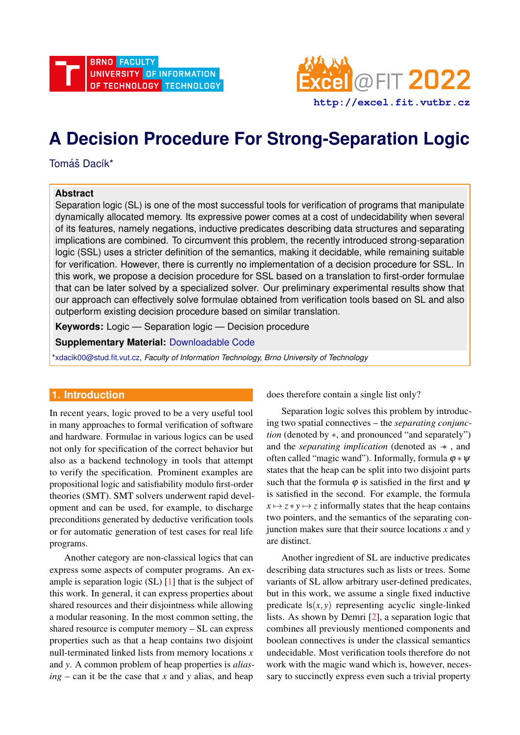



# **A Decision Procedure For Strong-Separation Logic**

Tomáš Dacík\*

## **Abstract**

Separation logic (SL) is one of the most successful tools for verification of programs that manipulate dynamically allocated memory. Its expressive power comes at a cost of undecidability when several of its features, namely negations, inductive predicates describing data structures and separating implications are combined. To circumvent this problem, the recently introduced strong-separation logic (SSL) uses a stricter definition of the semantics, making it decidable, while remaining suitable for verification. However, there is currently no implementation of a decision procedure for SSL. In this work, we propose a decision procedure for SSL based on a translation to first-order formulae that can be later solved by a specialized solver. Our preliminary experimental results show that our approach can effectively solve formulae obtained from verification tools based on SL and also outperform existing decision procedure based on similar translation.

**Keywords:** Logic — Separation logic — Decision procedure

**Supplementary Material:** [Downloadable Code](https://github.com/TDacik/Astral)

[\\*xdacik00@stud.fit.vut.cz,](mailto:xdacik00@stud.fit.vut.cz) *Faculty of Information Technology, Brno University of Technology*

## **1. Introduction**

In recent years, logic proved to be a very useful tool in many approaches to formal verification of software and hardware. Formulae in various logics can be used not only for specification of the correct behavior but also as a backend technology in tools that attempt to verify the specification. Prominent examples are propositional logic and satisfiability modulo first-order theories (SMT). SMT solvers underwent rapid development and can be used, for example, to discharge preconditions generated by deductive verification tools or for automatic generation of test cases for real life programs.

Another category are non-classical logics that can express some aspects of computer programs. An example is separation logic  $(SL)$  [\[1\]](#page-8-0) that is the subject of this work. In general, it can express properties about shared resources and their disjointness while allowing a modular reasoning. In the most common setting, the shared resource is computer memory – SL can express properties such as that a heap contains two disjoint null-terminated linked lists from memory locations *x* and *y*. A common problem of heap properties is *alias* $ing - can$  it be the case that *x* and *y* alias, and heap

does therefore contain a single list only?

Separation logic solves this problem by introducing two spatial connectives – the *separating conjunction* (denoted by ∗, and pronounced "and separately") and the *separating implication* (denoted as  $\rightarrow$ , and often called "magic wand"). Informally, formula  $\varphi * \psi$ states that the heap can be split into two disjoint parts such that the formula  $\varphi$  is satisfied in the first and  $\psi$ is satisfied in the second. For example, the formula  $x \mapsto z * y \mapsto z$  informally states that the heap contains two pointers, and the semantics of the separating conjunction makes sure that their source locations *x* and *y* are distinct.

Another ingredient of SL are inductive predicates describing data structures such as lists or trees. Some variants of SL allow arbitrary user-defined predicates, but in this work, we assume a single fixed inductive predicate  $\mathsf{ls}(x, y)$  representing acyclic single-linked lists. As shown by Demri [\[2\]](#page-8-1), a separation logic that combines all previously mentioned components and boolean connectives is under the classical semantics undecidable. Most verification tools therefore do not work with the magic wand which is, however, necessary to succinctly express even such a trivial property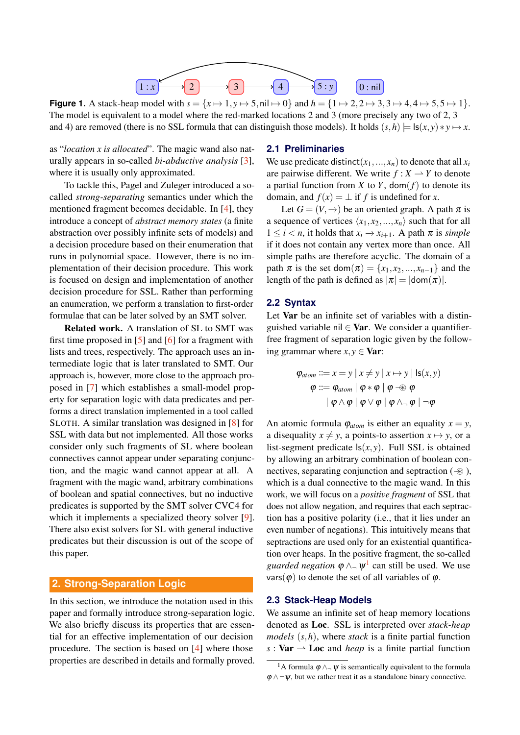<span id="page-1-1"></span>

**Figure 1.** A stack-heap model with  $s = \{x \mapsto 1, y \mapsto 5, \text{nil} \mapsto 0\}$  and  $h = \{1 \mapsto 2, 2 \mapsto 3, 3 \mapsto 4, 4 \mapsto 5, 5 \mapsto 1\}.$ The model is equivalent to a model where the red-marked locations 2 and 3 (more precisely any two of 2, 3 and 4) are removed (there is no SSL formula that can distinguish those models). It holds  $(s,h) = \ln(x,y) * y \mapsto x$ .

as "*location x is allocated*". The magic wand also naturally appears in so-called *bi-abductive analysis* [\[3\]](#page-8-2), where it is usually only approximated.

To tackle this, Pagel and Zuleger introduced a socalled *strong-separating* semantics under which the mentioned fragment becomes decidable. In [\[4\]](#page-8-3), they introduce a concept of *abstract memory states* (a finite abstraction over possibly infinite sets of models) and a decision procedure based on their enumeration that runs in polynomial space. However, there is no implementation of their decision procedure. This work is focused on design and implementation of another decision procedure for SSL. Rather than performing an enumeration, we perform a translation to first-order formulae that can be later solved by an SMT solver.

Related work. A translation of SL to SMT was first time proposed in [\[5\]](#page-8-4) and [\[6\]](#page-8-5) for a fragment with lists and trees, respectively. The approach uses an intermediate logic that is later translated to SMT. Our approach is, however, more close to the approach proposed in [\[7\]](#page-8-6) which establishes a small-model property for separation logic with data predicates and performs a direct translation implemented in a tool called SLOTH. A similar translation was designed in [\[8\]](#page-8-7) for SSL with data but not implemented. All those works consider only such fragments of SL where boolean connectives cannot appear under separating conjunction, and the magic wand cannot appear at all. A fragment with the magic wand, arbitrary combinations of boolean and spatial connectives, but no inductive predicates is supported by the SMT solver CVC4 for which it implements a specialized theory solver [\[9\]](#page-8-8). There also exist solvers for SL with general inductive predicates but their discussion is out of the scope of this paper.

## <span id="page-1-2"></span>**2. Strong-Separation Logic**

In this section, we introduce the notation used in this paper and formally introduce strong-separation logic. We also briefly discuss its properties that are essential for an effective implementation of our decision procedure. The section is based on [\[4\]](#page-8-3) where those properties are described in details and formally proved.

#### **2.1 Preliminaries**

We use predicate distinct( $x_1, \ldots, x_n$ ) to denote that all  $x_i$ are pairwise different. We write  $f: X \to Y$  to denote a partial function from *X* to *Y*, dom( $f$ ) to denote its domain, and  $f(x) = \perp$  if *f* is undefined for *x*.

Let  $G = (V, \rightarrow)$  be an oriented graph. A path  $\pi$  is a sequence of vertices  $\langle x_1, x_2, ..., x_n \rangle$  such that for all 1 ≤ *i* < *n*, it holds that *x<sup>i</sup>* −→ *xi*+1. A path π is *simple* if it does not contain any vertex more than once. All simple paths are therefore acyclic. The domain of a path  $\pi$  is the set dom $(\pi) = \{x_1, x_2, ..., x_{n-1}\}\$ and the length of the path is defined as  $|\pi| = |dom(\pi)|$ .

#### **2.2 Syntax**

Let Var be an infinite set of variables with a distinguished variable nil  $\in$  Var. We consider a quantifierfree fragment of separation logic given by the following grammar where  $x, y \in \text{Var}$ :

$$
\varphi_{atom} ::= x = y \mid x \neq y \mid x \mapsto y \mid \mathsf{ls}(x, y)
$$
\n
$$
\varphi ::= \varphi_{atom} \mid \varphi * \varphi \mid \varphi \nrightarrow \varphi
$$
\n
$$
\mid \varphi \wedge \varphi \mid \varphi \vee \varphi \mid \varphi \wedge \neg \varphi \mid \neg \varphi
$$

An atomic formula  $\varphi_{atom}$  is either an equality  $x = y$ , a disequality  $x \neq y$ , a points-to assertion  $x \mapsto y$ , or a list-segment predicate  $\mathsf{ls}(x, y)$ . Full SSL is obtained by allowing an arbitrary combination of boolean connectives, separating conjunction and septraction  $(\oplus)$ , which is a dual connective to the magic wand. In this work, we will focus on a *positive fragment* of SSL that does not allow negation, and requires that each septraction has a positive polarity (i.e., that it lies under an even number of negations). This intuitively means that septractions are used only for an existential quantification over heaps. In the positive fragment, the so-called *guarded negation*  $\varphi \wedge \neg \psi^1$  $\varphi \wedge \neg \psi^1$  can still be used. We use vars( $\varphi$ ) to denote the set of all variables of  $\varphi$ .

## **2.3 Stack-Heap Models**

We assume an infinite set of heap memory locations denoted as Loc. SSL is interpreted over *stack-heap models* (*s*,*h*), where *stack* is a finite partial function  $s: \textbf{Var} \rightarrow \textbf{Loc}$  and *heap* is a finite partial function

<span id="page-1-0"></span><sup>&</sup>lt;sup>1</sup>A formula  $\varphi \wedge \neg \psi$  is semantically equivalent to the formula  $\varphi \wedge \neg \psi$ , but we rather treat it as a standalone binary connective.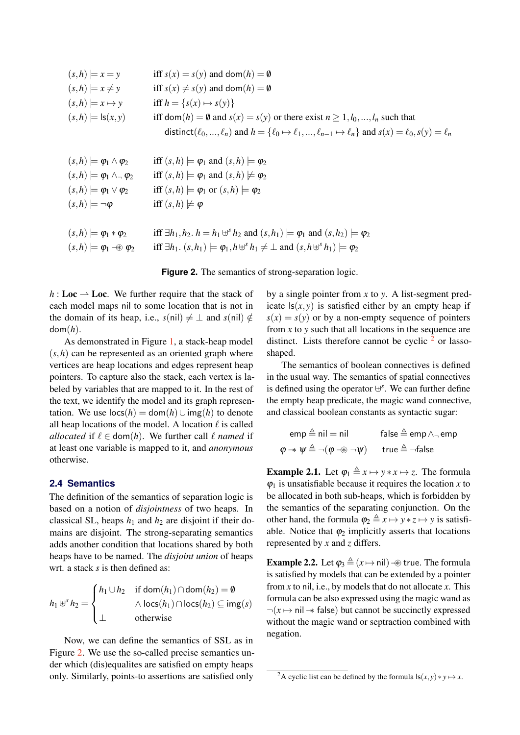<span id="page-2-0"></span>

| $(s,h) \models x = y$                           | iff $s(x) = s(y)$ and dom $(h) = \emptyset$                                                                                      |
|-------------------------------------------------|----------------------------------------------------------------------------------------------------------------------------------|
| $(s,h) \models x \neq y$                        | iff $s(x) \neq s(y)$ and dom $(h) = \emptyset$                                                                                   |
| $(s,h) \models x \mapsto y$                     | iff $h = \{s(x) \mapsto s(y)\}\;$                                                                                                |
| $(s,h) \models \mathsf{ls}(x,y)$                | iff dom(h) = 0 and $s(x) = s(y)$ or there exist $n \ge 1, l_0, , l_n$ such that                                                  |
|                                                 | distinct( $\ell_0, , \ell_n$ ) and $h = {\ell_0 \mapsto \ell_1, , \ell_{n-1} \mapsto \ell_n}$ and $s(x) = \ell_0, s(y) = \ell_n$ |
|                                                 |                                                                                                                                  |
| $(s,h) \models \varphi_1 \wedge \varphi_2$      | iff $(s,h) \models \varphi_1$ and $(s,h) \models \varphi_2$                                                                      |
| $(s,h) \models \varphi_1 \wedge \neg \varphi_2$ | iff $(s,h) \models \varphi_1$ and $(s,h) \not\models \varphi_2$                                                                  |
| $(s,h) \models \varphi_1 \vee \varphi_2$        | iff $(s,h) \models \varphi_1$ or $(s,h) \models \varphi_2$                                                                       |
| $(s,h) \models \neg \varphi$                    | iff $(s,h) \not\models \varphi$                                                                                                  |
|                                                 |                                                                                                                                  |
| $(s,h) \models \varphi_1 * \varphi_2$           | iff $\exists h_1, h_2, h = h_1 \uplus^s h_2$ and $(s, h_1) \models \varphi_1$ and $(s, h_2) \models \varphi_2$                   |
| $(s,h) \models \varphi_1 \rightarrow \varphi_2$ | iff $\exists h_1$ . $(s, h_1) \models \varphi_1, h \uplus^s h_1 \neq \bot$ and $(s, h \uplus^s h_1) \models \varphi_2$           |

**Figure 2.** The semantics of strong-separation logic.

 $h:$  **Loc**  $\rightarrow$  **Loc.** We further require that the stack of each model maps nil to some location that is not in the domain of its heap, i.e.,  $s(nil) \neq \perp$  and  $s(nil) \notin$ dom(*h*).

As demonstrated in Figure [1,](#page-1-1) a stack-heap model  $(s, h)$  can be represented as an oriented graph where vertices are heap locations and edges represent heap pointers. To capture also the stack, each vertex is labeled by variables that are mapped to it. In the rest of the text, we identify the model and its graph representation. We use  $\log(h) = \text{dom}(h) \cup \text{img}(h)$  to denote all heap locations of the model. A location  $\ell$  is called *allocated* if  $\ell \in \text{dom}(h)$ . We further call  $\ell$  *named* if at least one variable is mapped to it, and *anonymous* otherwise.

# **2.4 Semantics**

The definition of the semantics of separation logic is based on a notion of *disjointness* of two heaps. In classical SL, heaps  $h_1$  and  $h_2$  are disjoint if their domains are disjoint. The strong-separating semantics adds another condition that locations shared by both heaps have to be named. The *disjoint union* of heaps wrt. a stack *s* is then defined as:

$$
h_1 \uplus^s h_2 = \begin{cases} h_1 \cup h_2 & \text{if } \text{dom}(h_1) \cap \text{dom}(h_2) = \emptyset \\ \wedge \text{locs}(h_1) \cap \text{locs}(h_2) \subseteq \text{img}(s) \\ \perp & \text{otherwise} \end{cases}
$$

Now, we can define the semantics of SSL as in Figure [2.](#page-2-0) We use the so-called precise semantics under which (dis)equalites are satisfied on empty heaps only. Similarly, points-to assertions are satisfied only by a single pointer from *x* to *y*. A list-segment predicate  $\mathsf{ls}(x, y)$  is satisfied either by an empty heap if  $s(x) = s(y)$  or by a non-empty sequence of pointers from *x* to *y* such that all locations in the sequence are distinct. Lists therefore cannot be cyclic  $2$  or lassoshaped.

The semantics of boolean connectives is defined in the usual way. The semantics of spatial connectives is defined using the operator ⊎ *s* . We can further define the empty heap predicate, the magic wand connective, and classical boolean constants as syntactic sugar:

$$
emp \triangleq nil = nil \qquad false \triangleq emp \land \neg emp
$$
  

$$
\varphi \twoheadrightarrow \psi \triangleq \neg(\varphi \twoheadrightarrow \neg \psi) \qquad true \triangleq \neg false
$$

**Example 2.1.** Let  $\varphi_1 \triangleq x \mapsto y \cdot x \mapsto z$ . The formula  $\varphi_1$  is unsatisfiable because it requires the location *x* to be allocated in both sub-heaps, which is forbidden by the semantics of the separating conjunction. On the other hand, the formula  $\varphi_2 \triangleq x \mapsto y \ast z \mapsto y$  is satisfiable. Notice that  $\varphi_2$  implicitly asserts that locations represented by *x* and *z* differs.

**Example 2.2.** Let  $\varphi_3 \triangleq (x \mapsto \text{nil}) - \circledast$  true. The formula is satisfied by models that can be extended by a pointer from *x* to nil, i.e., by models that do not allocate *x*. This formula can be also expressed using the magic wand as ¬(*x* 7→ nil−∗ false) but cannot be succinctly expressed without the magic wand or septraction combined with negation.

<span id="page-2-1"></span><sup>&</sup>lt;sup>2</sup>A cyclic list can be defined by the formula  $\textsf{ls}(x, y) * y \mapsto x$ .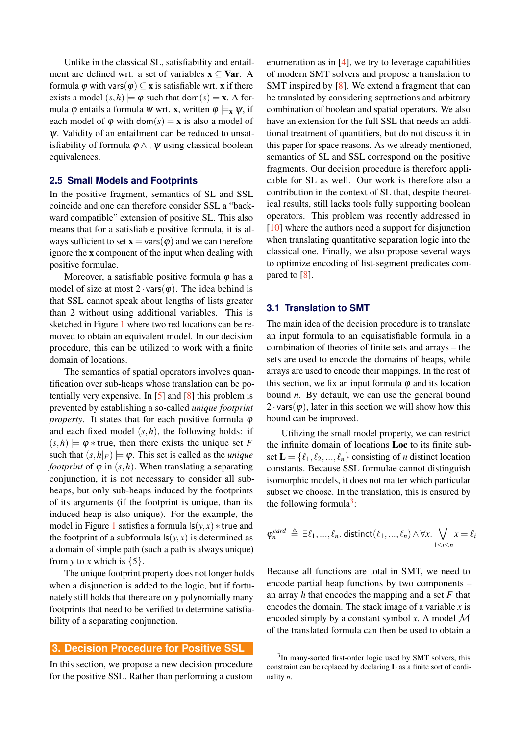Unlike in the classical SL, satisfiability and entailment are defined wrt. a set of variables  $x \subseteq Var$ . A formula  $\varphi$  with vars $(\varphi) \subseteq x$  is satisfiable wrt. x if there exists a model  $(s,h) \models \varphi$  such that dom $(s) = \mathbf{x}$ . A formula  $\varphi$  entails a formula  $\psi$  wrt. **x**, written  $\varphi \models_x \psi$ , if each model of  $\varphi$  with dom( $s$ ) = **x** is also a model of ψ. Validity of an entailment can be reduced to unsatisfiability of formula  $\varphi \wedge \neg \psi$  using classical boolean equivalences.

## **2.5 Small Models and Footprints**

In the positive fragment, semantics of SL and SSL coincide and one can therefore consider SSL a "backward compatible" extension of positive SL. This also means that for a satisfiable positive formula, it is always sufficient to set  $\mathbf{x} = \text{vars}(\boldsymbol{\varphi})$  and we can therefore ignore the x component of the input when dealing with positive formulae.

Moreover, a satisfiable positive formula  $\varphi$  has a model of size at most  $2 \cdot \text{vars}(\varphi)$ . The idea behind is that SSL cannot speak about lengths of lists greater than 2 without using additional variables. This is sketched in Figure [1](#page-1-1) where two red locations can be removed to obtain an equivalent model. In our decision procedure, this can be utilized to work with a finite domain of locations.

The semantics of spatial operators involves quantification over sub-heaps whose translation can be potentially very expensive. In [\[5\]](#page-8-4) and [\[8\]](#page-8-7) this problem is prevented by establishing a so-called *unique footprint property*. It states that for each positive formula  $\varphi$ and each fixed model (*s*,*h*), the following holds: if  $(s,h) \models \varphi *$  true, then there exists the unique set *F* such that  $(s,h|_F) \models \varphi$ . This set is called as the *unique footprint* of  $\varphi$  in  $(s, h)$ . When translating a separating conjunction, it is not necessary to consider all subheaps, but only sub-heaps induced by the footprints of its arguments (if the footprint is unique, than its induced heap is also unique). For the example, the model in Figure [1](#page-1-1) satisfies a formula  $\mathsf{ls}(y, x) * \mathsf{true}$  and the footprint of a subformula  $\mathsf{ls}(y, x)$  is determined as a domain of simple path (such a path is always unique) from *y* to *x* which is  $\{5\}$ .

The unique footprint property does not longer holds when a disjunction is added to the logic, but if fortunately still holds that there are only polynomially many footprints that need to be verified to determine satisfiability of a separating conjunction.

#### **3. Decision Procedure for Positive SSL**

In this section, we propose a new decision procedure for the positive SSL. Rather than performing a custom

enumeration as in [\[4\]](#page-8-3), we try to leverage capabilities of modern SMT solvers and propose a translation to SMT inspired by [\[8\]](#page-8-7). We extend a fragment that can be translated by considering septractions and arbitrary combination of boolean and spatial operators. We also have an extension for the full SSL that needs an additional treatment of quantifiers, but do not discuss it in this paper for space reasons. As we already mentioned, semantics of SL and SSL correspond on the positive fragments. Our decision procedure is therefore applicable for SL as well. Our work is therefore also a contribution in the context of SL that, despite theoretical results, still lacks tools fully supporting boolean operators. This problem was recently addressed in [\[10\]](#page-8-9) where the authors need a support for disjunction when translating quantitative separation logic into the classical one. Finally, we also propose several ways to optimize encoding of list-segment predicates compared to [\[8\]](#page-8-7).

## **3.1 Translation to SMT**

The main idea of the decision procedure is to translate an input formula to an equisatisfiable formula in a combination of theories of finite sets and arrays – the sets are used to encode the domains of heaps, while arrays are used to encode their mappings. In the rest of this section, we fix an input formula  $\varphi$  and its location bound *n*. By default, we can use the general bound  $2 \cdot \text{vars}(\varphi)$ , later in this section we will show how this bound can be improved.

Utilizing the small model property, we can restrict the infinite domain of locations Loc to its finite subset  $\mathbf{L} = \{\ell_1, \ell_2, ..., \ell_n\}$  consisting of *n* distinct location constants. Because SSL formulae cannot distinguish isomorphic models, it does not matter which particular subset we choose. In the translation, this is ensured by the following formula<sup>[3](#page-3-0)</sup>:

$$
\varphi_n^{card} \triangleq \exists \ell_1, ..., \ell_n. \text{ distinct}(\ell_1, ..., \ell_n) \land \forall x. \bigvee_{1 \leq i \leq n} x = \ell_i
$$

Because all functions are total in SMT, we need to encode partial heap functions by two components – an array *h* that encodes the mapping and a set *F* that encodes the domain. The stack image of a variable *x* is encoded simply by a constant symbol  $x$ . A model  $\mathcal M$ of the translated formula can then be used to obtain a

<span id="page-3-0"></span><sup>&</sup>lt;sup>3</sup>In many-sorted first-order logic used by SMT solvers, this constraint can be replaced by declaring L as a finite sort of cardinality *n*.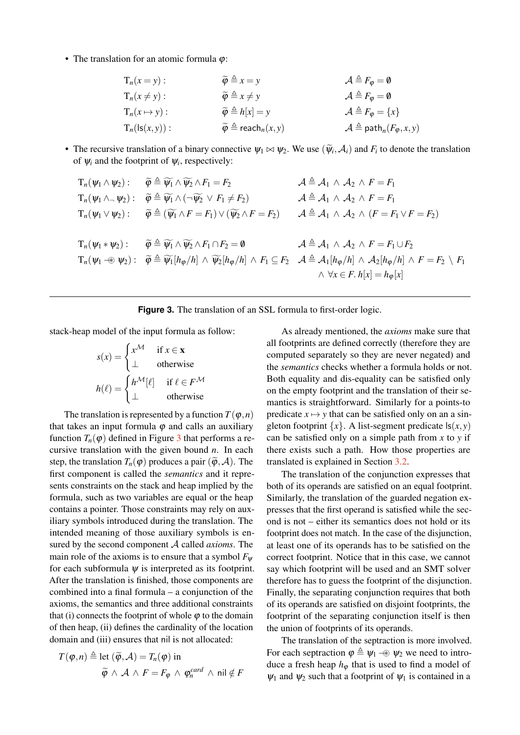<span id="page-4-0"></span>• The translation for an atomic formula  $\varphi$ :

| $T_n(x = y)$ :           | $\widetilde{\varphi} \triangleq x = y$                | $\mathcal{A} \triangleq F_{\varphi} = \mathbf{0}$         |
|--------------------------|-------------------------------------------------------|-----------------------------------------------------------|
| $T_n(x \neq y)$ :        | $\widetilde{\varphi} \triangleq x \neq y$             | $\mathcal{A} \triangleq F_{\varphi} = \mathbf{0}$         |
| $T_n(x \mapsto y)$ :     | $\widetilde{\varphi} \triangleq h[x] = y$             | $\mathcal{A} \triangleq F_{\varphi} = \{x\}$              |
| $T_n(\text{ls}(x, y))$ : | $\widetilde{\varphi} \triangleq \text{reach}_n(x, y)$ | $\mathcal{A} \triangleq \text{path}_n(F_{\varphi}, x, y)$ |

• The recursive translation of a binary connective  $\psi_1 \bowtie \psi_2$ . We use  $(\widetilde{\psi}_i, \mathcal{A}_i)$  and  $F_i$  to denote the translation of  $\mathcal{U}_i$  and the footness of  $\mathcal{U}_i$  and the footness of  $\mathcal{U}_i$  and the footness of of  $\psi_i$  and the footprint of  $\psi_i$ , respectively:

$$
T_n(\psi_1 \wedge \psi_2): \quad \widetilde{\varphi} \triangleq \widetilde{\psi_1} \wedge \widetilde{\psi_2} \wedge F_1 = F_2 \qquad \qquad A \triangleq A_1 \wedge A_2 \wedge F = F_1
$$
\n
$$
T_n(\psi_1 \wedge \neg \psi_2): \quad \widetilde{\varphi} \triangleq \widetilde{\psi_1} \wedge (\neg \widetilde{\psi_2} \vee F_1 \neq F_2) \qquad A \triangleq A_1 \wedge A_2 \wedge F = F_1
$$
\n
$$
T_n(\psi_1 \vee \psi_2): \quad \widetilde{\varphi} \triangleq (\widetilde{\psi_1} \wedge F = F_1) \vee (\widetilde{\psi_2} \wedge F = F_2) \qquad A \triangleq A_1 \wedge A_2 \wedge (F = F_1 \vee F = F_2)
$$
\n
$$
T_n(\psi_1 * \psi_2): \quad \widetilde{\varphi} \triangleq \widetilde{\psi_1} \wedge \widetilde{\psi_2} \wedge F_1 \cap F_2 = \emptyset \qquad A \triangleq A_1 \wedge A_2 \wedge F = F_1 \cup F_2
$$
\n
$$
T_n(\psi_1 \neg \circ \psi_2): \quad \widetilde{\varphi} \triangleq \widetilde{\psi_1}[\eta_{\varphi}/h] \wedge \widetilde{\psi_2}[\eta_{\varphi}/h] \wedge F_1 \subseteq F_2 \qquad A \triangleq A_1[\eta_{\varphi}/h] \wedge A_2[\eta_{\varphi}/h] \wedge F = F_2 \setminus F_1
$$
\n
$$
\wedge \forall x \in F. \; h[x] = h_{\varphi}[x]
$$

|  |  | Figure 3. The translation of an SSL formula to first-order logic. |  |  |  |  |  |  |  |
|--|--|-------------------------------------------------------------------|--|--|--|--|--|--|--|
|--|--|-------------------------------------------------------------------|--|--|--|--|--|--|--|

stack-heap model of the input formula as follow:

$$
s(x) = \begin{cases} x^{\mathcal{M}} & \text{if } x \in \mathbf{x} \\ \perp & \text{otherwise} \end{cases}
$$

$$
h(\ell) = \begin{cases} h^{\mathcal{M}}[\ell] & \text{if } \ell \in F^{\mathcal{M}} \\ \perp & \text{otherwise} \end{cases}
$$

The translation is represented by a function  $T(\varphi, n)$ that takes an input formula  $\varphi$  and calls an auxiliary function  $T_n(\varphi)$  defined in Figure [3](#page-4-0) that performs a recursive translation with the given bound *n*. In each step, the translation  $T_n(\varphi)$  produces a pair  $(\widetilde{\varphi}, A)$ . The first component is called the *semantics* and it represents constraints on the stack and heap implied by the formula, such as two variables are equal or the heap contains a pointer. Those constraints may rely on auxiliary symbols introduced during the translation. The intended meaning of those auxiliary symbols is ensured by the second component A called *axioms*. The main role of the axioms is to ensure that a symbol  $F_{\psi}$ for each subformula  $\psi$  is interpreted as its footprint. After the translation is finished, those components are combined into a final formula – a conjunction of the axioms, the semantics and three additional constraints that (i) connects the footprint of whole  $\varphi$  to the domain of then heap, (ii) defines the cardinality of the location domain and (iii) ensures that nil is not allocated:

$$
T(\varphi, n) \triangleq \text{let } (\widetilde{\varphi}, \mathcal{A}) = T_n(\varphi) \text{ in}
$$
  

$$
\widetilde{\varphi} \land \mathcal{A} \land F = F_{\varphi} \land \varphi_n^{card} \land \text{nil} \notin F
$$

As already mentioned, the *axioms* make sure that all footprints are defined correctly (therefore they are computed separately so they are never negated) and the *semantics* checks whether a formula holds or not. Both equality and dis-equality can be satisfied only on the empty footprint and the translation of their semantics is straightforward. Similarly for a points-to predicate  $x \mapsto y$  that can be satisfied only on an a singleton footprint  $\{x\}$ . A list-segment predicate  $\mathsf{ls}(x, y)$ can be satisfied only on a simple path from *x* to *y* if there exists such a path. How those properties are translated is explained in Section [3.2.](#page-5-0)

The translation of the conjunction expresses that both of its operands are satisfied on an equal footprint. Similarly, the translation of the guarded negation expresses that the first operand is satisfied while the second is not – either its semantics does not hold or its footprint does not match. In the case of the disjunction, at least one of its operands has to be satisfied on the correct footprint. Notice that in this case, we cannot say which footprint will be used and an SMT solver therefore has to guess the footprint of the disjunction. Finally, the separating conjunction requires that both of its operands are satisfied on disjoint footprints, the footprint of the separating conjunction itself is then the union of footprints of its operands.

The translation of the septraction is more involved. For each septraction  $\varphi \triangleq \psi_1 \twoheadrightarrow \psi_2$  we need to introduce a fresh heap  $h_{\varphi}$  that is used to find a model of  $\psi_1$  and  $\psi_2$  such that a footprint of  $\psi_1$  is contained in a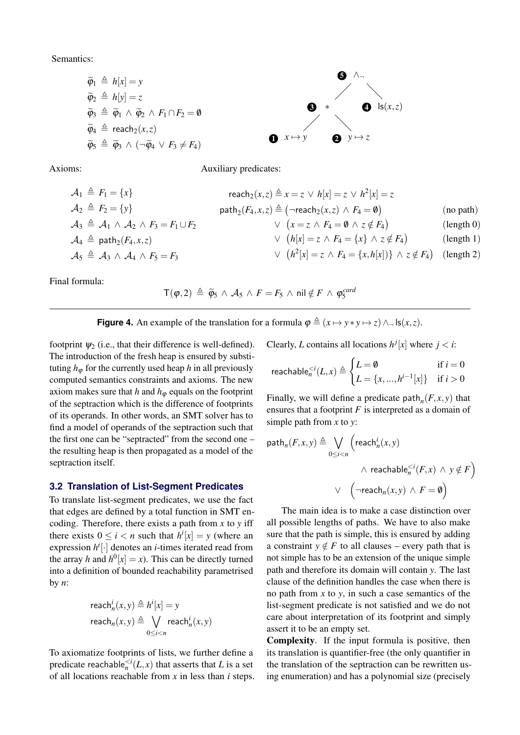<span id="page-5-1"></span>Semantics:

$$
\widetilde{\varphi}_1 \triangleq h[x] = y
$$
\n
$$
\widetilde{\varphi}_2 \triangleq h[y] = z
$$
\n
$$
\widetilde{\varphi}_3 \triangleq \widetilde{\varphi}_1 \wedge \widetilde{\varphi}_2 \wedge F_1 \cap F_2 = \emptyset
$$
\n
$$
\widetilde{\varphi}_4 \triangleq \text{reach}_2(x, z)
$$
\n
$$
\widetilde{\varphi}_5 \triangleq \widetilde{\varphi}_3 \wedge (\neg \widetilde{\varphi}_4 \vee F_3 \neq F_4)
$$
\n
$$
\bigotimes x \mapsto y
$$
\n
$$
\bigotimes y \mapsto z
$$

Axioms: Auxiliary predicates:

$$
\mathcal{A}_1 \triangleq F_1 = \{x\} \qquad \text{reach}_2(x, z) \triangleq x = z \lor h[x] = z
$$
\n
$$
\mathcal{A}_2 \triangleq F_2 = \{y\} \qquad \text{path}_2(F_4, x, z) \triangleq (\neg \text{reach}_2(x, z) \land F_4 = \emptyset) \qquad \text{(no path)}
$$
\n
$$
\mathcal{A}_3 \triangleq \mathcal{A}_1 \land \mathcal{A}_2 \land F_3 = F_1 \cup F_2 \qquad \qquad \lor \quad (x = z \land F_4 = \emptyset \land z \notin F_4) \qquad \text{(length 0)}
$$
\n
$$
\mathcal{A}_4 \triangleq \text{path}_2(F_4, x, z) \qquad \qquad \lor \quad (h[x] = z \land F_4 = \{x\} \land z \notin F_4) \qquad \text{(length 1)}
$$
\n
$$
\mathcal{A}_5 \triangleq \mathcal{A}_3 \land \mathcal{A}_4 \land F_5 = F_3 \qquad \qquad \lor \quad (h^2[x] = z \land F_4 = \{x, h[x])\} \land z \notin F_4) \qquad \text{(length 2)}
$$

Final formula:

 $\mathsf{T}(\varphi,2) \triangleq \widetilde{\varphi}_5 \wedge \mathcal{A}_5 \wedge F = F_5 \wedge \mathsf{nil} \notin F \wedge \varphi_5^{card}$ 

**Figure 4.** An example of the translation for a formula  $\varphi \triangleq (x \mapsto y \ast y \mapsto z) \wedge \neg \text{ls}(x, z)$ .

footprint  $\psi_2$  (i.e., that their difference is well-defined). The introduction of the fresh heap is ensured by substituting  $h_{\varphi}$  for the currently used heap *h* in all previously computed semantics constraints and axioms. The new axiom makes sure that  $h$  and  $h_{\varphi}$  equals on the footprint of the septraction which is the difference of footprints of its operands. In other words, an SMT solver has to find a model of operands of the septraction such that the first one can be "septracted" from the second one – the resulting heap is then propagated as a model of the septraction itself.

#### <span id="page-5-0"></span>**3.2 Translation of List-Segment Predicates**

To translate list-segment predicates, we use the fact that edges are defined by a total function in SMT encoding. Therefore, there exists a path from *x* to *y* iff there exists  $0 \le i < n$  such that  $h^i[x] = y$  (where an expression *h i* [·] denotes an *i*-times iterated read from the array *h* and  $h^0[x] = x$ ). This can be directly turned into a definition of bounded reachability parametrised by *n*:

$$
\begin{aligned}\n\text{reach}_n^i(x, y) &\triangleq h^i[x] = y \\
\text{reach}_n(x, y) &\triangleq \bigvee_{0 \le i < n} \text{reach}_n^i(x, y)\n\end{aligned}
$$

To axiomatize footprints of lists, we further define a predicate reachable $_{n}^{ that asserts that *L* is a set$ of all locations reachable from *x* in less than *i* steps. Clearly, *L* contains all locations  $h^{j}[x]$  where  $j < i$ :

$$
\text{reachable}_{n}^{< i}(L, x) \triangleq \begin{cases} L = \emptyset & \text{if } i = 0\\ L = \{x, ..., h^{i-1}[x]\} & \text{if } i > 0 \end{cases}
$$

Finally, we will define a predicate path<sub>n</sub> $(F, x, y)$  that ensures that a footprint *F* is interpreted as a domain of simple path from *x* to *y*:

$$
\begin{aligned}\n\text{path}_n(F, x, y) &\triangleq \bigvee_{0 \le i < n} \left( \text{reach}_n^i(x, y) \right. \\
&\qquad \wedge \text{ reachable}_n^{\le i}(F, x) \wedge y \notin F \right) \\
&\qquad \vee \left( \neg \text{reach}_n(x, y) \wedge F = \emptyset \right)\n\end{aligned}
$$

The main idea is to make a case distinction over all possible lengths of paths. We have to also make sure that the path is simple, this is ensured by adding a constraint  $y \notin F$  to all clauses – every path that is not simple has to be an extension of the unique simple path and therefore its domain will contain *y*. The last clause of the definition handles the case when there is no path from *x* to *y*, in such a case semantics of the list-segment predicate is not satisfied and we do not care about interpretation of its footprint and simply assert it to be an empty set.

Complexity. If the input formula is positive, then its translation is quantifier-free (the only quantifier in the translation of the septraction can be rewritten using enumeration) and has a polynomial size (precisely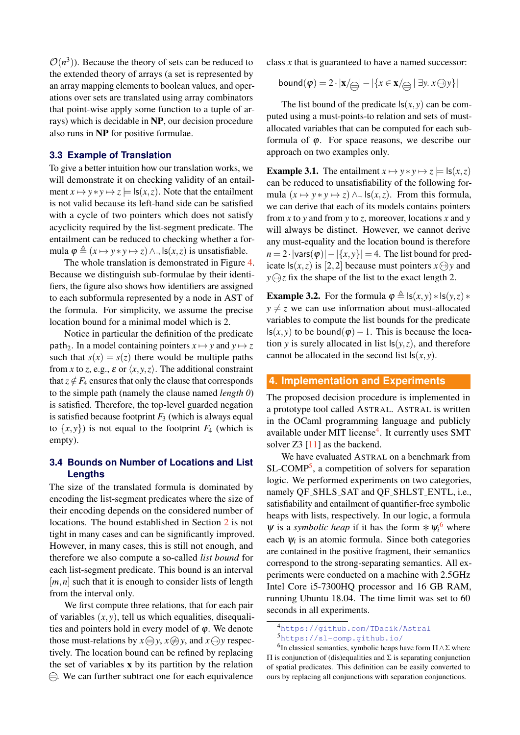$\mathcal{O}(n^3)$ ). Because the theory of sets can be reduced to the extended theory of arrays (a set is represented by an array mapping elements to boolean values, and operations over sets are translated using array combinators that point-wise apply some function to a tuple of arrays) which is decidable in NP, our decision procedure also runs in NP for positive formulae.

## **3.3 Example of Translation**

To give a better intuition how our translation works, we will demonstrate it on checking validity of an entailment  $x \mapsto y * y \mapsto z \models \mathsf{ls}(x, z)$ . Note that the entailment is not valid because its left-hand side can be satisfied with a cycle of two pointers which does not satisfy acyclicity required by the list-segment predicate. The entailment can be reduced to checking whether a formula  $\varphi \triangleq (x \mapsto y * y \mapsto z) \wedge \neg \text{ls}(x, z)$  is unsatisfiable.

The whole translation is demonstrated in Figure [4.](#page-5-1) Because we distinguish sub-formulae by their identifiers, the figure also shows how identifiers are assigned to each subformula represented by a node in AST of the formula. For simplicity, we assume the precise location bound for a minimal model which is 2.

Notice in particular the definition of the predicate path<sub>2</sub>. In a model containing pointers  $x \mapsto y$  and  $y \mapsto z$ such that  $s(x) = s(z)$  there would be multiple paths from *x* to *z*, e.g.,  $\varepsilon$  or  $\langle x, y, z \rangle$ . The additional constraint that  $z \notin F_4$  ensures that only the clause that corresponds to the simple path (namely the clause named *length 0*) is satisfied. Therefore, the top-level guarded negation is satisfied because footprint  $F_3$  (which is always equal to  $\{x, y\}$ ) is not equal to the footprint  $F_4$  (which is empty).

# **3.4 Bounds on Number of Locations and List Lengths**

The size of the translated formula is dominated by encoding the list-segment predicates where the size of their encoding depends on the considered number of locations. The bound established in Section [2](#page-1-2) is not tight in many cases and can be significantly improved. However, in many cases, this is still not enough, and therefore we also compute a so-called *list bound* for each list-segment predicate. This bound is an interval  $[m, n]$  such that it is enough to consider lists of length from the interval only.

We first compute three relations, that for each pair of variables  $(x, y)$ , tell us which equalities, disequalities and pointers hold in every model of  $\varphi$ . We denote those must-relations by  $x \bigoplus y$ ,  $x \bigoplus y$ , and  $x \bigoplus y$  respectively. The location bound can be refined by replacing the set of variables x by its partition by the relation  $\ominus$ . We can further subtract one for each equivalence

class *x* that is guaranteed to have a named successor:

$$
bound(\varphi) = 2 \cdot |\mathbf{x}/\text{C}|\n- |\{x \in \mathbf{x}/\text{C}\n- |\exists y. x \ominus y\}|
$$

The list bound of the predicate  $ls(x, y)$  can be computed using a must-points-to relation and sets of mustallocated variables that can be computed for each subformula of  $\varphi$ . For space reasons, we describe our approach on two examples only.

**Example 3.1.** The entailment  $x \mapsto y * y \mapsto z = \text{ls}(x, z)$ can be reduced to unsatisfiability of the following formula  $(x \mapsto y * y \mapsto z) \wedge \neg \text{ls}(x, z)$ . From this formula, we can derive that each of its models contains pointers from *x* to *y* and from *y* to *z*, moreover, locations *x* and *y* will always be distinct. However, we cannot derive any must-equality and the location bound is therefore  $n = 2 \cdot |\text{vars}(\varphi)| - |\{x, y\}| = 4$ . The list bound for predicate  $|s(x, z)|$  is [2, 2] because must pointers  $x \ominus y$  and  $y \bigoplus z$  fix the shape of the list to the exact length 2.

**Example 3.2.** For the formula  $\varphi \triangleq \mathsf{ls}(x, y) * \mathsf{ls}(y, z) *$  $y \neq z$  we can use information about must-allocated variables to compute the list bounds for the predicate ls(*x*, *y*) to be bound( $φ$ ) − 1. This is because the location *y* is surely allocated in list  $\mathsf{ls}(y, z)$ , and therefore cannot be allocated in the second list  $\mathsf{ls}(x, y)$ .

## **4. Implementation and Experiments**

The proposed decision procedure is implemented in a prototype tool called ASTRAL. ASTRAL is written in the OCaml programming language and publicly available under MIT license<sup>[4](#page-6-0)</sup>. It currently uses SMT solver Z3 [\[11\]](#page-8-10) as the backend.

We have evaluated ASTRAL on a benchmark from SL-COMP<sup>[5](#page-6-1)</sup>, a competition of solvers for separation logic. We performed experiments on two categories, namely QF SHLS SAT and QF SHLST ENTL, i.e., satisfiability and entailment of quantifier-free symbolic heaps with lists, respectively. In our logic, a formula  $\psi$  is a *symbolic heap* if it has the form  $*\psi_i^6$  $*\psi_i^6$  where each  $\psi_i$  is an atomic formula. Since both categories are contained in the positive fragment, their semantics correspond to the strong-separating semantics. All experiments were conducted on a machine with 2.5GHz Intel Core i5-7300HQ processor and 16 GB RAM, running Ubuntu 18.04. The time limit was set to 60 seconds in all experiments.

<span id="page-6-0"></span><sup>4</sup><https://github.com/TDacik/Astral>

<span id="page-6-2"></span><span id="page-6-1"></span><sup>5</sup><https://sl-comp.github.io/>

<sup>&</sup>lt;sup>6</sup>In classical semantics, symbolic heaps have form  $\Pi \wedge \Sigma$  where Π is conjunction of (dis)equalities and Σ is separating conjunction of spatial predicates. This definition can be easily converted to ours by replacing all conjunctions with separation conjunctions.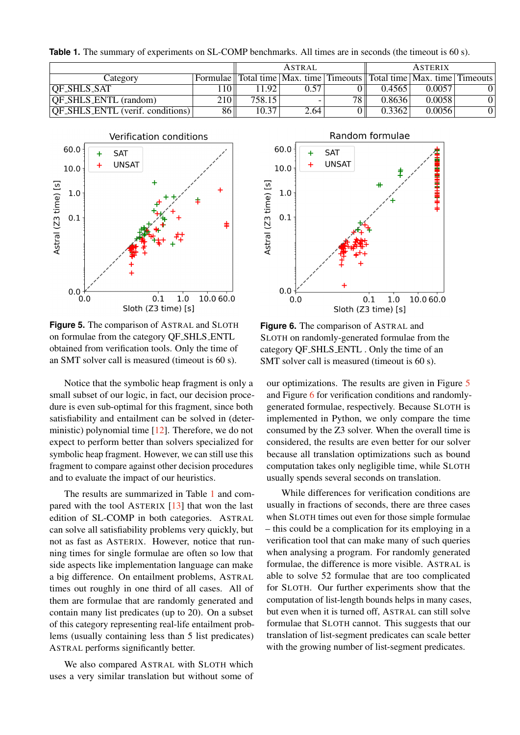<span id="page-7-0"></span>Table 1. The summary of experiments on SL-COMP benchmarks. All times are in seconds (the timeout is 60 s).

|                                         |                 | <b>ASTRAL</b> |      | <b>ASTERIX</b>  |        |                                                                                                                                              |  |
|-----------------------------------------|-----------------|---------------|------|-----------------|--------|----------------------------------------------------------------------------------------------------------------------------------------------|--|
| Category                                |                 |               |      |                 |        | Formulae $\parallel$ Total time $\parallel$ Max. time $\parallel$ Timeouts $\parallel$ Total time $\parallel$ Max. time $\parallel$ Timeouts |  |
| OF_SHLS_SAT                             | 10 <sub>1</sub> | 11.92         | 0.57 |                 | 0.4565 | 0.0057                                                                                                                                       |  |
| <b>OF_SHLS_ENTL</b> (random)            | 210             | 758.15        |      | 78 <sub>1</sub> | 0.8636 | 0.0058                                                                                                                                       |  |
| <b>QF_SHLS_ENTL</b> (verif. conditions) | 86 <sup>°</sup> | 10.37         | 2.64 |                 | 0.3362 | 0.0056                                                                                                                                       |  |

<span id="page-7-1"></span>

**Figure 5.** The comparison of ASTRAL and SLOTH on formulae from the category QF SHLS ENTL obtained from verification tools. Only the time of an SMT solver call is measured (timeout is 60 s).

Notice that the symbolic heap fragment is only a small subset of our logic, in fact, our decision procedure is even sub-optimal for this fragment, since both satisfiability and entailment can be solved in (deterministic) polynomial time [\[12\]](#page-8-11). Therefore, we do not expect to perform better than solvers specialized for symbolic heap fragment. However, we can still use this fragment to compare against other decision procedures and to evaluate the impact of our heuristics.

The results are summarized in Table [1](#page-7-0) and compared with the tool ASTERIX [\[13\]](#page-8-12) that won the last edition of SL-COMP in both categories. ASTRAL can solve all satisfiability problems very quickly, but not as fast as ASTERIX. However, notice that running times for single formulae are often so low that side aspects like implementation language can make a big difference. On entailment problems, ASTRAL times out roughly in one third of all cases. All of them are formulae that are randomly generated and contain many list predicates (up to 20). On a subset of this category representing real-life entailment problems (usually containing less than 5 list predicates) ASTRAL performs significantly better.

We also compared ASTRAL with SLOTH which uses a very similar translation but without some of



**Figure 6.** The comparison of ASTRAL and SLOTH on randomly-generated formulae from the category QF SHLS ENTL . Only the time of an SMT solver call is measured (timeout is 60 s).

our optimizations. The results are given in Figure [5](#page-7-1) and Figure [6](#page-7-1) for verification conditions and randomlygenerated formulae, respectively. Because SLOTH is implemented in Python, we only compare the time consumed by the Z3 solver. When the overall time is considered, the results are even better for our solver because all translation optimizations such as bound computation takes only negligible time, while SLOTH usually spends several seconds on translation.

While differences for verification conditions are usually in fractions of seconds, there are three cases when SLOTH times out even for those simple formulae – this could be a complication for its employing in a verification tool that can make many of such queries when analysing a program. For randomly generated formulae, the difference is more visible. ASTRAL is able to solve 52 formulae that are too complicated for SLOTH. Our further experiments show that the computation of list-length bounds helps in many cases, but even when it is turned off, ASTRAL can still solve formulae that SLOTH cannot. This suggests that our translation of list-segment predicates can scale better with the growing number of list-segment predicates.